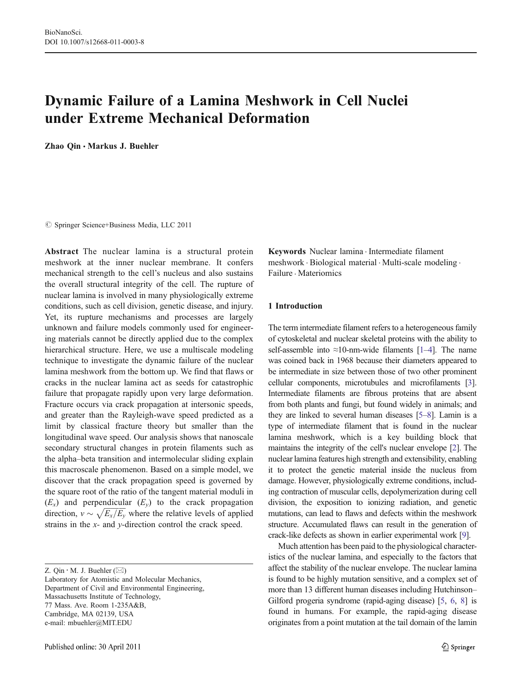# Dynamic Failure of a Lamina Meshwork in Cell Nuclei under Extreme Mechanical Deformation

Zhao Qin · Markus J. Buehler

 $©$  Springer Science+Business Media, LLC 2011

Abstract The nuclear lamina is a structural protein meshwork at the inner nuclear membrane. It confers mechanical strength to the cell's nucleus and also sustains the overall structural integrity of the cell. The rupture of nuclear lamina is involved in many physiologically extreme conditions, such as cell division, genetic disease, and injury. Yet, its rupture mechanisms and processes are largely unknown and failure models commonly used for engineering materials cannot be directly applied due to the complex hierarchical structure. Here, we use a multiscale modeling technique to investigate the dynamic failure of the nuclear lamina meshwork from the bottom up. We find that flaws or cracks in the nuclear lamina act as seeds for catastrophic failure that propagate rapidly upon very large deformation. Fracture occurs via crack propagation at intersonic speeds, and greater than the Rayleigh-wave speed predicted as a limit by classical fracture theory but smaller than the longitudinal wave speed. Our analysis shows that nanoscale secondary structural changes in protein filaments such as the alpha–beta transition and intermolecular sliding explain this macroscale phenomenon. Based on a simple model, we discover that the crack propagation speed is governed by the square root of the ratio of the tangent material moduli in  $(E_x)$  and perpendicular  $(E_y)$  to the crack propagation direction,  $v \sim \sqrt{E_x/E_y}$  where the relative levels of applied strains in the x- and y-direction control the crack speed.

Keywords Nuclear lamina . Intermediate filament meshwork . Biological material . Multi-scale modeling . Failure . Materiomics

# 1 Introduction

The term intermediate filament refers to a heterogeneous family of cytoskeletal and nuclear skeletal proteins with the ability to self-assemble into  $\approx$ 10-nm-wide filaments [\[1](#page-8-0)–[4](#page-8-0)]. The name was coined back in 1968 because their diameters appeared to be intermediate in size between those of two other prominent cellular components, microtubules and microfilaments [\[3\]](#page-8-0). Intermediate filaments are fibrous proteins that are absent from both plants and fungi, but found widely in animals; and they are linked to several human diseases [\[5](#page-8-0)–[8](#page-8-0)]. Lamin is a type of intermediate filament that is found in the nuclear lamina meshwork, which is a key building block that maintains the integrity of the cell's nuclear envelope [\[2](#page-8-0)]. The nuclear lamina features high strength and extensibility, enabling it to protect the genetic material inside the nucleus from damage. However, physiologically extreme conditions, including contraction of muscular cells, depolymerization during cell division, the exposition to ionizing radiation, and genetic mutations, can lead to flaws and defects within the meshwork structure. Accumulated flaws can result in the generation of crack-like defects as shown in earlier experimental work [\[9](#page-8-0)].

Much attention has been paid to the physiological characteristics of the nuclear lamina, and especially to the factors that affect the stability of the nuclear envelope. The nuclear lamina is found to be highly mutation sensitive, and a complex set of more than 13 different human diseases including Hutchinson– Gilford progeria syndrome (rapid-aging disease) [[5,](#page-8-0) [6](#page-8-0), [8](#page-8-0)] is found in humans. For example, the rapid-aging disease originates from a point mutation at the tail domain of the lamin

Z. Qin  $\cdot$  M. J. Buehler ( $\boxtimes$ )

Laboratory for Atomistic and Molecular Mechanics, Department of Civil and Environmental Engineering, Massachusetts Institute of Technology, 77 Mass. Ave. Room 1-235A&B, Cambridge, MA 02139, USA e-mail: mbuehler@MIT.EDU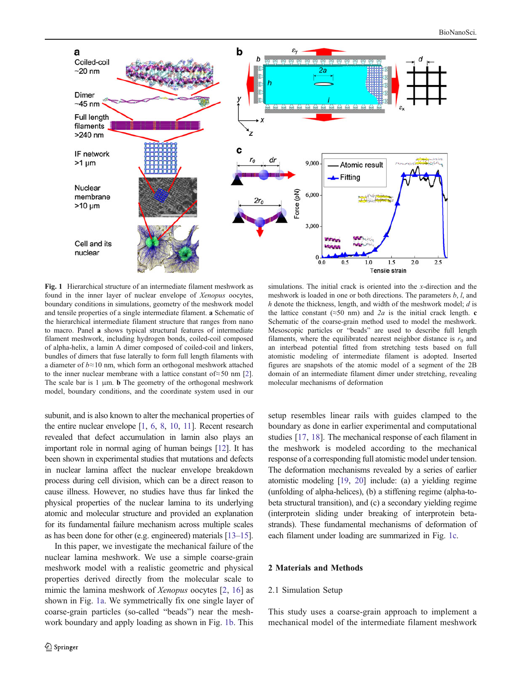<span id="page-1-0"></span>

Fig. 1 Hierarchical structure of an intermediate filament meshwork as found in the inner layer of nuclear envelope of Xenopus oocytes, boundary conditions in simulations, geometry of the meshwork model and tensile properties of a single intermediate filament. a Schematic of the hierarchical intermediate filament structure that ranges from nano to macro. Panel a shows typical structural features of intermediate filament meshwork, including hydrogen bonds, coiled-coil composed of alpha-helix, a lamin A dimer composed of coiled-coil and linkers, bundles of dimers that fuse laterally to form full length filaments with a diameter of  $b \approx 10$  nm, which form an orthogonal meshwork attached to the inner nuclear membrane with a lattice constant of≈50 nm [\[2](#page-8-0)]. The scale bar is  $1 \mu m$ . **b** The geometry of the orthogonal meshwork model, boundary conditions, and the coordinate system used in our

subunit, and is also known to alter the mechanical properties of the entire nuclear envelope [\[1,](#page-8-0) [6,](#page-8-0) [8,](#page-8-0) [10](#page-8-0), [11\]](#page-8-0). Recent research revealed that defect accumulation in lamin also plays an important role in normal aging of human beings [\[12](#page-8-0)]. It has been shown in experimental studies that mutations and defects in nuclear lamina affect the nuclear envelope breakdown process during cell division, which can be a direct reason to cause illness. However, no studies have thus far linked the physical properties of the nuclear lamina to its underlying atomic and molecular structure and provided an explanation for its fundamental failure mechanism across multiple scales as has been done for other (e.g. engineered) materials [[13](#page-8-0)–[15\]](#page-8-0).

In this paper, we investigate the mechanical failure of the nuclear lamina meshwork. We use a simple coarse-grain meshwork model with a realistic geometric and physical properties derived directly from the molecular scale to mimic the lamina meshwork of *Xenopus* oocytes [\[2](#page-8-0), [16\]](#page-8-0) as shown in Fig. 1a. We symmetrically fix one single layer of coarse-grain particles (so-called "beads") near the meshwork boundary and apply loading as shown in Fig. 1b. This

simulations. The initial crack is oriented into the x-direction and the meshwork is loaded in one or both directions. The parameters  $b, l$ , and  $h$  denote the thickness, length, and width of the meshwork model;  $d$  is the lattice constant ( $\approx$ 50 nm) and 2*a* is the initial crack length. c Schematic of the coarse-grain method used to model the meshwork. Mesoscopic particles or "beads" are used to describe full length filaments, where the equilibrated nearest neighbor distance is  $r_0$  and an interbead potential fitted from stretching tests based on full atomistic modeling of intermediate filament is adopted. Inserted figures are snapshots of the atomic model of a segment of the 2B domain of an intermediate filament dimer under stretching, revealing molecular mechanisms of deformation

setup resembles linear rails with guides clamped to the boundary as done in earlier experimental and computational studies [[17,](#page-8-0) [18](#page-8-0)]. The mechanical response of each filament in the meshwork is modeled according to the mechanical response of a corresponding full atomistic model under tension. The deformation mechanisms revealed by a series of earlier atomistic modeling [\[19,](#page-9-0) [20\]](#page-9-0) include: (a) a yielding regime (unfolding of alpha-helices), (b) a stiffening regime (alpha-tobeta structural transition), and (c) a secondary yielding regime (interprotein sliding under breaking of interprotein betastrands). These fundamental mechanisms of deformation of each filament under loading are summarized in Fig. 1c.

# 2 Materials and Methods

## 2.1 Simulation Setup

This study uses a coarse-grain approach to implement a mechanical model of the intermediate filament meshwork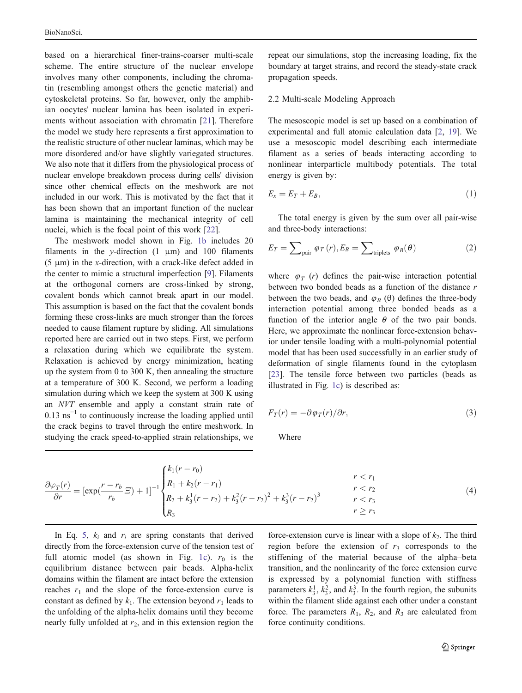based on a hierarchical finer-trains-coarser multi-scale scheme. The entire structure of the nuclear envelope involves many other components, including the chromatin (resembling amongst others the genetic material) and cytoskeletal proteins. So far, however, only the amphibian oocytes' nuclear lamina has been isolated in experiments without association with chromatin [\[21\]](#page-9-0). Therefore the model we study here represents a first approximation to the realistic structure of other nuclear laminas, which may be more disordered and/or have slightly variegated structures. We also note that it differs from the physiological process of nuclear envelope breakdown process during cells' division since other chemical effects on the meshwork are not included in our work. This is motivated by the fact that it has been shown that an important function of the nuclear lamina is maintaining the mechanical integrity of cell nuclei, which is the focal point of this work [[22\]](#page-9-0).

The meshwork model shown in Fig. [1b](#page-1-0) includes 20 filaments in the y-direction  $(1 \mu m)$  and 100 filaments (5  $\mu$ m) in the x-direction, with a crack-like defect added in the center to mimic a structural imperfection [\[9](#page-8-0)]. Filaments at the orthogonal corners are cross-linked by strong, covalent bonds which cannot break apart in our model. This assumption is based on the fact that the covalent bonds forming these cross-links are much stronger than the forces needed to cause filament rupture by sliding. All simulations reported here are carried out in two steps. First, we perform a relaxation during which we equilibrate the system. Relaxation is achieved by energy minimization, heating up the system from 0 to 300 K, then annealing the structure at a temperature of 300 K. Second, we perform a loading simulation during which we keep the system at 300 K using an NVT ensemble and apply a constant strain rate of  $0.13 \text{ ns}^{-1}$  to continuously increase the loading applied until the crack begins to travel through the entire meshwork. In studying the crack speed-to-applied strain relationships, we repeat our simulations, stop the increasing loading, fix the boundary at target strains, and record the steady-state crack propagation speeds.

# 2.2 Multi-scale Modeling Approach

The mesoscopic model is set up based on a combination of experimental and full atomic calculation data [[2,](#page-8-0) [19](#page-9-0)]. We use a mesoscopic model describing each intermediate filament as a series of beads interacting according to nonlinear interparticle multibody potentials. The total energy is given by:

$$
E_x = E_T + E_B, \tag{1}
$$

The total energy is given by the sum over all pair-wise and three-body interactions:

$$
E_T = \sum_{\text{pair}} \varphi_T(r), E_B = \sum_{\text{triplets}} \varphi_B(\theta) \tag{2}
$$

where  $\varphi_T$  (r) defines the pair-wise interaction potential between two bonded beads as a function of the distance r between the two beads, and  $\varphi_B$  (θ) defines the three-body interaction potential among three bonded beads as a function of the interior angle  $\theta$  of the two pair bonds. Here, we approximate the nonlinear force-extension behavior under tensile loading with a multi-polynomial potential model that has been used successfully in an earlier study of deformation of single filaments found in the cytoplasm [\[23](#page-9-0)]. The tensile force between two particles (beads as illustrated in Fig. [1c](#page-1-0)) is described as:

$$
F_T(r) = -\partial \varphi_T(r) / \partial r,\tag{3}
$$

Where

$$
\frac{\partial \varphi_T(r)}{\partial r} = \left[ \exp(\frac{r - r_b}{r_b} \Xi) + 1 \right]^{-1} \begin{cases} k_1(r - r_0) & r < r_1 \\ R_1 + k_2(r - r_1) & r < r_2 \\ R_2 + k_3^1(r - r_2) + k_3^2(r - r_2)^2 + k_3^3(r - r_2)^3 & r < r_3 \\ R_3 & r \ge r_3 \end{cases}
$$
(4)

In Eq. [5,](#page-3-0)  $k_i$  and  $r_i$  are spring constants that derived directly from the force-extension curve of the tension test of full atomic model (as shown in Fig. [1c\)](#page-1-0).  $r_0$  is the equilibrium distance between pair beads. Alpha-helix domains within the filament are intact before the extension reaches  $r_1$  and the slope of the force-extension curve is constant as defined by  $k_1$ . The extension beyond  $r_1$  leads to the unfolding of the alpha-helix domains until they become nearly fully unfolded at  $r_2$ , and in this extension region the

force-extension curve is linear with a slope of  $k_2$ . The third region before the extension of  $r_3$  corresponds to the stiffening of the material because of the alpha–beta transition, and the nonlinearity of the force extension curve is expressed by a polynomial function with stiffness parameters  $k_3^1$ ,  $k_3^2$ , and  $k_3^3$ . In the fourth region, the subunits within the filament slide against each other under a constant force. The parameters  $R_1$ ,  $R_2$ , and  $R_3$  are calculated from force continuity conditions.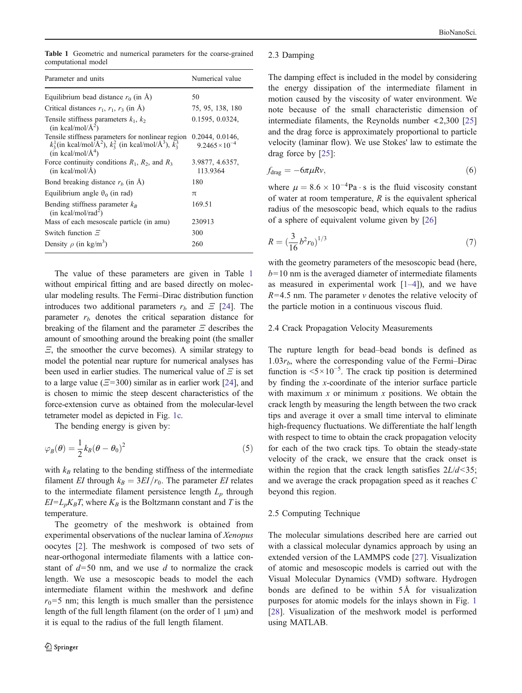<span id="page-3-0"></span>

|  |                     |  | Table 1 Geometric and numerical parameters for the coarse-grained |  |  |
|--|---------------------|--|-------------------------------------------------------------------|--|--|
|  | computational model |  |                                                                   |  |  |

| Parameter and units                                                                                                                                                         | Numerical value                            |  |  |
|-----------------------------------------------------------------------------------------------------------------------------------------------------------------------------|--------------------------------------------|--|--|
| Equilibrium bead distance $r_0$ (in $\AA$ )                                                                                                                                 | 50                                         |  |  |
| Critical distances $r_1$ , $r_1$ , $r_3$ (in A)                                                                                                                             | 75, 95, 138, 180                           |  |  |
| Tensile stiffness parameters $k_1$ , $k_2$<br>(in kcal/mol/ $\AA^2$ )                                                                                                       | 0.1595, 0.0324,                            |  |  |
| Tensile stiffness parameters for nonlinear region<br>$k_3^1$ (in kcal/mol/ $\hat{A}^2$ ), $k_3^2$ (in kcal/mol/ $\hat{A}^3$ ), $\tilde{k}_3^3$<br>$(in$ kcal/mol/ $\AA^4$ ) | 0.2044, 0.0146,<br>$9.2465 \times 10^{-4}$ |  |  |
| Force continuity conditions $R_1$ , $R_2$ , and $R_3$<br>$(in \, kcal/mol/A)$                                                                                               | 3.9877, 4.6357,<br>113.9364                |  |  |
| Bond breaking distance $rb$ (in A)                                                                                                                                          | 180                                        |  |  |
| Equilibrium angle $\theta_0$ (in rad)                                                                                                                                       | $\pi$                                      |  |  |
| Bending stiffness parameter $k_B$<br>$(in$ kcal/mol/rad <sup>2</sup> )                                                                                                      | 169.51                                     |  |  |
| Mass of each mesoscale particle (in amu)                                                                                                                                    | 230913                                     |  |  |
| Switch function $\Xi$                                                                                                                                                       | 300                                        |  |  |
| Density $\rho$ (in kg/m <sup>3</sup> )                                                                                                                                      | 260                                        |  |  |

The value of these parameters are given in Table 1 without empirical fitting and are based directly on molecular modeling results. The Fermi–Dirac distribution function introduces two additional parameters  $r<sub>b</sub>$  and  $\Xi$  [\[24](#page-9-0)]. The parameter  $r<sub>b</sub>$  denotes the critical separation distance for breaking of the filament and the parameter  $\Xi$  describes the amount of smoothing around the breaking point (the smaller  $E$ , the smoother the curve becomes). A similar strategy to model the potential near rupture for numerical analyses has been used in earlier studies. The numerical value of  $\Xi$  is set to a large value ( $\Xi$ =300) similar as in earlier work [[24\]](#page-9-0), and is chosen to mimic the steep descent characteristics of the force-extension curve as obtained from the molecular-level tetrameter model as depicted in Fig. [1c](#page-1-0).

The bending energy is given by:

$$
\varphi_B(\theta) = \frac{1}{2} k_B (\theta - \theta_0)^2 \tag{5}
$$

with  $k_B$  relating to the bending stiffness of the intermediate filament EI through  $k_B = 3EI/r_0$ . The parameter EI relates to the intermediate filament persistence length  $L_p$  through  $EI=L_pK_BT$ , where  $K_B$  is the Boltzmann constant and T is the temperature.

The geometry of the meshwork is obtained from experimental observations of the nuclear lamina of Xenopus oocytes [\[2](#page-8-0)]. The meshwork is composed of two sets of near-orthogonal intermediate filaments with a lattice constant of  $d=50$  nm, and we use d to normalize the crack length. We use a mesoscopic beads to model the each intermediate filament within the meshwork and define  $r_0$ =5 nm; this length is much smaller than the persistence length of the full length filament (on the order of  $1 \mu m$ ) and it is equal to the radius of the full length filament.

#### 2.3 Damping

The damping effect is included in the model by considering the energy dissipation of the intermediate filament in motion caused by the viscosity of water environment. We note because of the small characteristic dimension of intermediate filaments, the Reynolds number ≪2,300 [\[25](#page-9-0)] and the drag force is approximately proportional to particle velocity (laminar flow). We use Stokes' law to estimate the drag force by [[25\]](#page-9-0):

$$
f_{\rm drag} = -6\pi\mu R v,\tag{6}
$$

where  $\mu = 8.6 \times 10^{-4}$ Pa  $\cdot$  s is the fluid viscosity constant of water at room temperature,  $R$  is the equivalent spherical radius of the mesoscopic bead, which equals to the radius of a sphere of equivalent volume given by [\[26](#page-9-0)]

$$
R = \left(\frac{3}{16}b^2r_0\right)^{1/3} \tag{7}
$$

with the geometry parameters of the mesoscopic bead (here,  $b=10$  nm is the averaged diameter of intermediate filaments as measured in experimental work  $[1-4]$  $[1-4]$  $[1-4]$  $[1-4]$ , and we have  $R=4.5$  nm. The parameter v denotes the relative velocity of the particle motion in a continuous viscous fluid.

## 2.4 Crack Propagation Velocity Measurements

The rupture length for bead–bead bonds is defined as  $1.03r<sub>b</sub>$ , where the corresponding value of the Fermi–Dirac function is  $5 \times 10^{-5}$ . The crack tip position is determined by finding the x-coordinate of the interior surface particle with maximum  $x$  or minimum  $x$  positions. We obtain the crack length by measuring the length between the two crack tips and average it over a small time interval to eliminate high-frequency fluctuations. We differentiate the half length with respect to time to obtain the crack propagation velocity for each of the two crack tips. To obtain the steady-state velocity of the crack, we ensure that the crack onset is within the region that the crack length satisfies  $2L/d < 35$ ; and we average the crack propagation speed as it reaches C beyond this region.

#### 2.5 Computing Technique

The molecular simulations described here are carried out with a classical molecular dynamics approach by using an extended version of the LAMMPS code [\[27](#page-9-0)]. Visualization of atomic and mesoscopic models is carried out with the Visual Molecular Dynamics (VMD) software. Hydrogen bonds are defined to be within 5Å for visualization purposes for atomic models for the inlays shown in Fig. [1](#page-1-0) [\[28](#page-9-0)]. Visualization of the meshwork model is performed using MATLAB.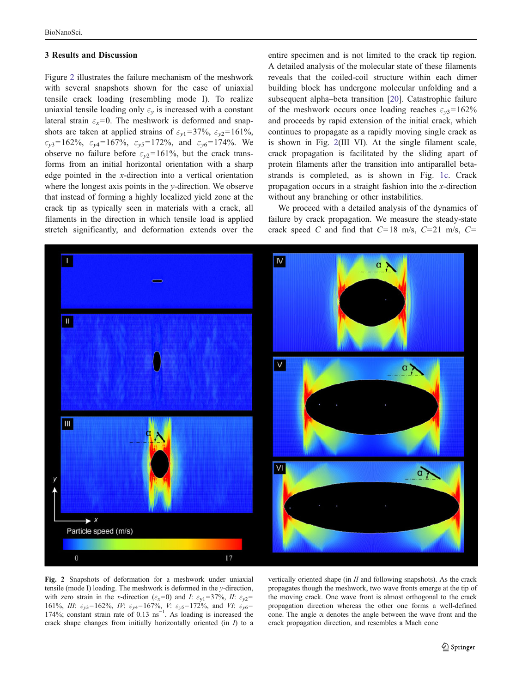#### <span id="page-4-0"></span>3 Results and Discussion

Figure 2 illustrates the failure mechanism of the meshwork with several snapshots shown for the case of uniaxial tensile crack loading (resembling mode I). To realize uniaxial tensile loading only  $\varepsilon$ <sub>v</sub> is increased with a constant lateral strain  $\varepsilon_x=0$ . The meshwork is deformed and snapshots are taken at applied strains of  $\varepsilon_{v1}$ =37%,  $\varepsilon_{v2}$ =161%,  $\varepsilon_{v3}$ =162%,  $\varepsilon_{v4}$ =167%,  $\varepsilon_{v5}$ =172%, and  $\varepsilon_{v6}$ =174%. We observe no failure before  $\varepsilon_{v2}$ =161%, but the crack transforms from an initial horizontal orientation with a sharp edge pointed in the x-direction into a vertical orientation where the longest axis points in the y-direction. We observe that instead of forming a highly localized yield zone at the crack tip as typically seen in materials with a crack, all filaments in the direction in which tensile load is applied stretch significantly, and deformation extends over the

entire specimen and is not limited to the crack tip region. A detailed analysis of the molecular state of these filaments reveals that the coiled-coil structure within each dimer building block has undergone molecular unfolding and a subsequent alpha–beta transition [\[20](#page-9-0)]. Catastrophic failure of the meshwork occurs once loading reaches  $\varepsilon_{v3}=162\%$ and proceeds by rapid extension of the initial crack, which continues to propagate as a rapidly moving single crack as is shown in Fig. 2(III–VI). At the single filament scale, crack propagation is facilitated by the sliding apart of protein filaments after the transition into antiparallel betastrands is completed, as is shown in Fig. [1c](#page-1-0). Crack propagation occurs in a straight fashion into the x-direction without any branching or other instabilities.

We proceed with a detailed analysis of the dynamics of failure by crack propagation. We measure the steady-state crack speed C and find that  $C=18$  m/s,  $C=21$  m/s,  $C=$ 



Fig. 2 Snapshots of deformation for a meshwork under uniaxial tensile (mode I) loading. The meshwork is deformed in the y-direction, with zero strain in the x-direction ( $\varepsilon_x=0$ ) and I:  $\varepsilon_{y1}=37\%$ , II:  $\varepsilon_{y2}=$ 161%, III:  $\varepsilon_{y3}$ =162%, IV:  $\varepsilon_{y4}$ =167%, V:  $\varepsilon_{y5}$ =172%, and VI:  $\varepsilon_{y6}$ = 174%; constant strain rate of 0.13 ns<sup>-1</sup>. As loading is increased the crack shape changes from initially horizontally oriented (in  $I$ ) to a

vertically oriented shape (in  $II$  and following snapshots). As the crack propagates though the meshwork, two wave fronts emerge at the tip of the moving crack. One wave front is almost orthogonal to the crack propagation direction whereas the other one forms a well-defined cone. The angle  $\alpha$  denotes the angle between the wave front and the crack propagation direction, and resembles a Mach cone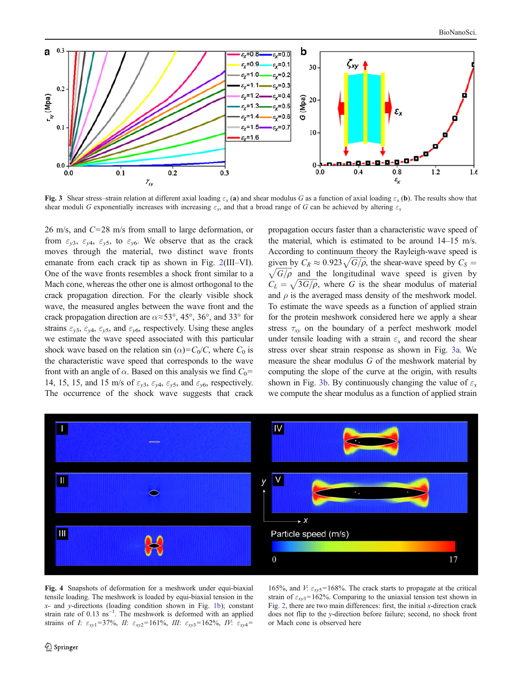<span id="page-5-0"></span>

Fig. 3 Shear stress–strain relation at different axial loading  $\varepsilon_x$  (a) and shear modulus G as a function of axial loading  $\varepsilon_x$  (b). The results show that shear moduli G exponentially increases with increasing  $\varepsilon_x$ , and that a broad range of G can be achieved by altering  $\varepsilon_x$ 

26 m/s, and C=28 m/s from small to large deformation, or from  $\varepsilon_{v3}$ ,  $\varepsilon_{v4}$ ,  $\varepsilon_{v5}$ , to  $\varepsilon_{v6}$ . We observe that as the crack moves through the material, two distinct wave fronts emanate from each crack tip as shown in Fig. [2](#page-4-0)(III–VI). One of the wave fronts resembles a shock front similar to a Mach cone, whereas the other one is almost orthogonal to the crack propagation direction. For the clearly visible shock wave, the measured angles between the wave front and the crack propagation direction are  $\alpha \approx 53^{\circ}$ , 45°, 36°, and 33° for strains  $\varepsilon_{y3}$ ,  $\varepsilon_{y4}$ ,  $\varepsilon_{y5}$ , and  $\varepsilon_{y6}$ , respectively. Using these angles we estimate the wave speed associated with this particular shock wave based on the relation sin ( $\alpha$ )=C<sub>0</sub>/C, where C<sub>0</sub> is the characteristic wave speed that corresponds to the wave front with an angle of  $\alpha$ . Based on this analysis we find  $C_0=$ 14, 15, 15, and 15 m/s of  $\varepsilon_{y3}$ ,  $\varepsilon_{y4}$ ,  $\varepsilon_{y5}$ , and  $\varepsilon_{y6}$ , respectively. The occurrence of the shock wave suggests that crack

propagation occurs faster than a characteristic wave speed of the material, which is estimated to be around 14–15 m/s. According to continuum theory the Rayleigh-wave speed is given by  $C_R \approx 0.923 \sqrt{G/\rho}$ , the shear-wave speed by  $C_S = \sqrt{G/\rho}$  and the longitudinal wave speed is given by  $\sqrt{G/\rho}$  and the longitudinal wave speed is given by  $C_L = \sqrt{3G/\rho}$ , where G is the shear modulus of material and  $\rho$  is the averaged mass density of the meshwork model. To estimate the wave speeds as a function of applied strain for the protein meshwork considered here we apply a shear stress  $\tau_{xy}$  on the boundary of a perfect meshwork model under tensile loading with a strain  $\varepsilon_x$  and record the shear stress over shear strain response as shown in Fig. 3a. We measure the shear modulus G of the meshwork material by computing the slope of the curve at the origin, with results shown in Fig. 3b. By continuously changing the value of  $\varepsilon_x$ we compute the shear modulus as a function of applied strain



Fig. 4 Snapshots of deformation for a meshwork under equi-biaxial tensile loading. The meshwork is loaded by equi-biaxial tension in the x- and y-directions (loading condition shown in Fig. [1b](#page-1-0)); constant strain rate of 0.13 ns<sup>-1</sup>. The meshwork is deformed with an applied strains of I:  $\varepsilon_{xy1}$ =37%, II:  $\varepsilon_{xy2}$ =161%, III:  $\varepsilon_{xy3}$ =162%, IV:  $\varepsilon_{xy4}$ =

165%, and *V*:  $\varepsilon_{xyz}$ =168%. The crack starts to propagate at the critical strain of  $\varepsilon_{xy3}$ =162%. Comparing to the uniaxial tension test shown in Fig. [2,](#page-4-0) there are two main differences: first, the initial x-direction crack does not flip to the y-direction before failure; second, no shock front or Mach cone is observed here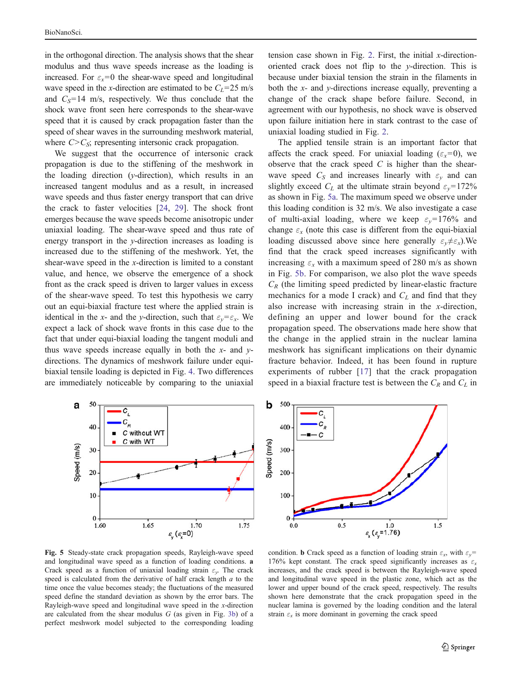<span id="page-6-0"></span>in the orthogonal direction. The analysis shows that the shear modulus and thus wave speeds increase as the loading is increased. For  $\varepsilon_x=0$  the shear-wave speed and longitudinal wave speed in the x-direction are estimated to be  $C_L$ =25 m/s and  $C_s$ =14 m/s, respectively. We thus conclude that the shock wave front seen here corresponds to the shear-wave speed that it is caused by crack propagation faster than the speed of shear waves in the surrounding meshwork material, where  $C > C<sub>S</sub>$ ; representing intersonic crack propagation.

We suggest that the occurrence of intersonic crack propagation is due to the stiffening of the meshwork in the loading direction ( $y$ -direction), which results in an increased tangent modulus and as a result, in increased wave speeds and thus faster energy transport that can drive the crack to faster velocities [[24,](#page-9-0) [29\]](#page-9-0). The shock front emerges because the wave speeds become anisotropic under uniaxial loading. The shear-wave speed and thus rate of energy transport in the y-direction increases as loading is increased due to the stiffening of the meshwork. Yet, the shear-wave speed in the x-direction is limited to a constant value, and hence, we observe the emergence of a shock front as the crack speed is driven to larger values in excess of the shear-wave speed. To test this hypothesis we carry out an equi-biaxial fracture test where the applied strain is identical in the x- and the y-direction, such that  $\varepsilon_v = \varepsilon_x$ . We expect a lack of shock wave fronts in this case due to the fact that under equi-biaxial loading the tangent moduli and thus wave speeds increase equally in both the  $x$ - and  $y$ directions. The dynamics of meshwork failure under equibiaxial tensile loading is depicted in Fig. [4](#page-5-0). Two differences are immediately noticeable by comparing to the uniaxial

tension case shown in Fig. [2](#page-4-0). First, the initial  $x$ -directionoriented crack does not flip to the y-direction. This is because under biaxial tension the strain in the filaments in both the  $x$ - and  $y$ -directions increase equally, preventing a change of the crack shape before failure. Second, in agreement with our hypothesis, no shock wave is observed upon failure initiation here in stark contrast to the case of uniaxial loading studied in Fig. [2](#page-4-0).

The applied tensile strain is an important factor that affects the crack speed. For uniaxial loading ( $\varepsilon_x=0$ ), we observe that the crack speed  $C$  is higher than the shearwave speed  $C_S$  and increases linearly with  $\varepsilon_v$  and can slightly exceed  $C_L$  at the ultimate strain beyond  $\varepsilon_v$ =172% as shown in Fig. 5a. The maximum speed we observe under this loading condition is 32 m/s. We also investigate a case of multi-axial loading, where we keep  $\varepsilon_v = 176\%$  and change  $\varepsilon$ <sub>x</sub> (note this case is different from the equi-biaxial loading discussed above since here generally  $\varepsilon_v \neq \varepsilon_x$ ). We find that the crack speed increases significantly with increasing  $\varepsilon_x$  with a maximum speed of 280 m/s as shown in Fig. 5b. For comparison, we also plot the wave speeds  $C_R$  (the limiting speed predicted by linear-elastic fracture mechanics for a mode I crack) and  $C_L$  and find that they also increase with increasing strain in the x-direction, defining an upper and lower bound for the crack propagation speed. The observations made here show that the change in the applied strain in the nuclear lamina meshwork has significant implications on their dynamic fracture behavior. Indeed, it has been found in rupture experiments of rubber [[17\]](#page-8-0) that the crack propagation speed in a biaxial fracture test is between the  $C_R$  and  $C_L$  in





Fig. 5 Steady-state crack propagation speeds, Rayleigh-wave speed and longitudinal wave speed as a function of loading conditions. a Crack speed as a function of uniaxial loading strain  $\varepsilon_{v}$ . The crack speed is calculated from the derivative of half crack length  $a$  to the time once the value becomes steady; the fluctuations of the measured speed define the standard deviation as shown by the error bars. The Rayleigh-wave speed and longitudinal wave speed in the x-direction are calculated from the shear modulus  $G$  (as given in Fig. [3b\)](#page-5-0) of a perfect meshwork model subjected to the corresponding loading

condition. b Crack speed as a function of loading strain  $\varepsilon_x$ , with  $\varepsilon_y$ = 176% kept constant. The crack speed significantly increases as  $\varepsilon$ , increases, and the crack speed is between the Rayleigh-wave speed and longitudinal wave speed in the plastic zone, which act as the lower and upper bound of the crack speed, respectively. The results shown here demonstrate that the crack propagation speed in the nuclear lamina is governed by the loading condition and the lateral strain  $\varepsilon_x$  is more dominant in governing the crack speed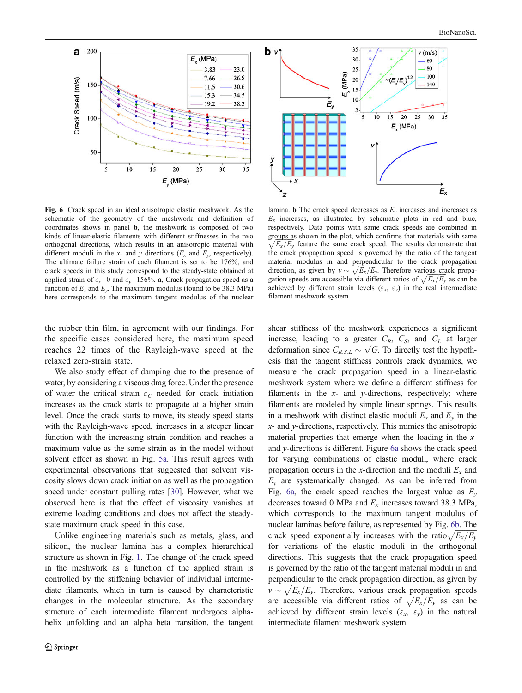

 $35$  $\mathbf{b}$  v  $v$  (m/s)  $30$ 60 80 25  $E_{\rm y}$  (MPa) 100  $\sim (E/k)$ <sup>1/2</sup>  $20$  $140$  $15$  $10$  $E_{y}$  $\overline{\mathbf{5}}$  $25$  $\overline{5}$  $10$  $15$ 20  $30$  $35$  $E_{.}$  (MPa)  $\boldsymbol{\mathsf{x}}$  $E_{x}$ 7

Fig. 6 Crack speed in an ideal anisotropic elastic meshwork. As the schematic of the geometry of the meshwork and definition of coordinates shows in panel b, the meshwork is composed of two kinds of linear-elastic filaments with different stiffnesses in the two orthogonal directions, which results in an anisotropic material with different moduli in the x- and y directions ( $E_x$  and  $E_y$ , respectively). The ultimate failure strain of each filament is set to be 176%, and crack speeds in this study correspond to the steady-state obtained at applied strain of  $\varepsilon_x=0$  and  $\varepsilon_y=156\%$ . **a**, Crack propagation speed as a function of  $E_r$  and  $E_v$ . The maximum modulus (found to be 38.3 MPa) here corresponds to the maximum tangent modulus of the nuclear

the rubber thin film, in agreement with our findings. For the specific cases considered here, the maximum speed reaches 22 times of the Rayleigh-wave speed at the relaxed zero-strain state.

We also study effect of damping due to the presence of water, by considering a viscous drag force. Under the presence of water the critical strain  $\varepsilon_C$  needed for crack initiation increases as the crack starts to propagate at a higher strain level. Once the crack starts to move, its steady speed starts with the Rayleigh-wave speed, increases in a steeper linear function with the increasing strain condition and reaches a maximum value as the same strain as in the model without solvent effect as shown in Fig. [5a](#page-6-0). This result agrees with experimental observations that suggested that solvent viscosity slows down crack initiation as well as the propagation speed under constant pulling rates [[30](#page-9-0)]. However, what we observed here is that the effect of viscosity vanishes at extreme loading conditions and does not affect the steadystate maximum crack speed in this case.

Unlike engineering materials such as metals, glass, and silicon, the nuclear lamina has a complex hierarchical structure as shown in Fig. [1](#page-1-0). The change of the crack speed in the meshwork as a function of the applied strain is controlled by the stiffening behavior of individual intermediate filaments, which in turn is caused by characteristic changes in the molecular structure. As the secondary structure of each intermediate filament undergoes alphahelix unfolding and an alpha–beta transition, the tangent

lamina. **b** The crack speed decreases as  $E<sub>v</sub>$  increases and increases as  $E_x$  increases, as illustrated by schematic plots in red and blue, respectively. Data points with same crack speeds are combined in groups as shown in the plot, which confirms that materials with same  $\sqrt{E_x/E_y}$  feature the same crack speed. The results demonstrate that the crack propagation speed is governed by the ratio of the tangent material modulus in and perpendicular to the crack propagation direction, as given by  $v \sim \sqrt{E_x/E_y}$ . Therefore various crack propagation speeds are accessible via different ratios of  $\sqrt{E_x/E_y}$  as can be achieved by different strain levels ( $\varepsilon_x$ ,  $\varepsilon_y$ ) in the real intermediate filament meshwork system

shear stiffness of the meshwork experiences a significant increase, leading to a greater  $C_R$ ,  $C_S$ , and  $C_L$  at larger deformation since  $C_{R,S,L} \sim \sqrt{G}$ . To directly test the hypothesis that the tangent stiffness controls crack dynamics, we measure the crack propagation speed in a linear-elastic meshwork system where we define a different stiffness for filaments in the  $x$ - and  $y$ -directions, respectively; where filaments are modeled by simple linear springs. This results in a meshwork with distinct elastic moduli  $E_x$  and  $E_y$  in the  $x$ - and  $y$ -directions, respectively. This mimics the anisotropic material properties that emerge when the loading in the xand y-directions is different. Figure 6a shows the crack speed for varying combinations of elastic moduli, where crack propagation occurs in the x-direction and the moduli  $E<sub>x</sub>$  and  $E<sub>v</sub>$  are systematically changed. As can be inferred from Fig. 6a, the crack speed reaches the largest value as  $E_y$ decreases toward 0 MPa and  $E<sub>x</sub>$  increases toward 38.3 MPa, which corresponds to the maximum tangent modulus of nuclear laminas before failure, as represented by Fig. 6b. The crack speed exponentially increases with the ratio  $\sqrt{E_x/E_y}$ for variations of the elastic moduli in the orthogonal directions. This suggests that the crack propagation speed is governed by the ratio of the tangent material moduli in and perpendicular to the crack propagation direction, as given by  $v \sim \sqrt{E_x/E_y}$ . Therefore, various crack propagation speeds are accessible via different ratios of  $\sqrt{E_x/E_y}$  as can be achieved by different strain levels  $(\varepsilon_x, \varepsilon_y)$  in the natural intermediate filament meshwork system.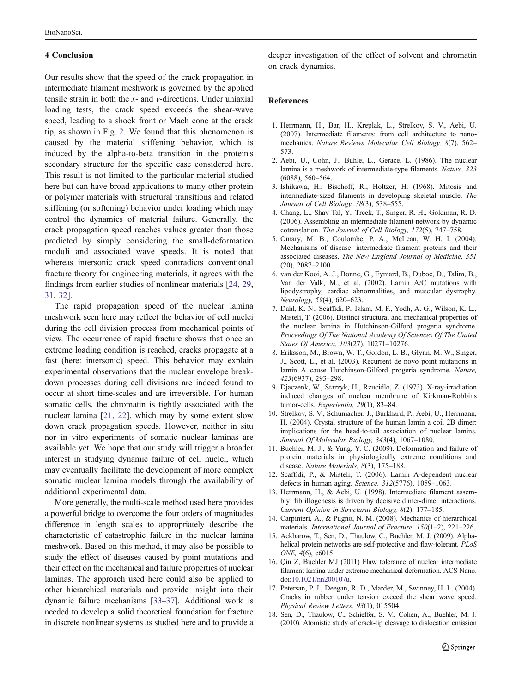### <span id="page-8-0"></span>4 Conclusion

Our results show that the speed of the crack propagation in intermediate filament meshwork is governed by the applied tensile strain in both the  $x$ - and  $y$ -directions. Under uniaxial loading tests, the crack speed exceeds the shear-wave speed, leading to a shock front or Mach cone at the crack tip, as shown in Fig. [2](#page-4-0). We found that this phenomenon is caused by the material stiffening behavior, which is induced by the alpha-to-beta transition in the protein's secondary structure for the specific case considered here. This result is not limited to the particular material studied here but can have broad applications to many other protein or polymer materials with structural transitions and related stiffening (or softening) behavior under loading which may control the dynamics of material failure. Generally, the crack propagation speed reaches values greater than those predicted by simply considering the small-deformation moduli and associated wave speeds. It is noted that whereas intersonic crack speed contradicts conventional fracture theory for engineering materials, it agrees with the findings from earlier studies of nonlinear materials [\[24](#page-9-0), [29,](#page-9-0) [31](#page-9-0), [32\]](#page-9-0).

The rapid propagation speed of the nuclear lamina meshwork seen here may reflect the behavior of cell nuclei during the cell division process from mechanical points of view. The occurrence of rapid fracture shows that once an extreme loading condition is reached, cracks propagate at a fast (here: intersonic) speed. This behavior may explain experimental observations that the nuclear envelope breakdown processes during cell divisions are indeed found to occur at short time-scales and are irreversible. For human somatic cells, the chromatin is tightly associated with the nuclear lamina [\[21](#page-9-0), [22\]](#page-9-0), which may by some extent slow down crack propagation speeds. However, neither in situ nor in vitro experiments of somatic nuclear laminas are available yet. We hope that our study will trigger a broader interest in studying dynamic failure of cell nuclei, which may eventually facilitate the development of more complex somatic nuclear lamina models through the availability of additional experimental data.

More generally, the multi-scale method used here provides a powerful bridge to overcome the four orders of magnitudes difference in length scales to appropriately describe the characteristic of catastrophic failure in the nuclear lamina meshwork. Based on this method, it may also be possible to study the effect of diseases caused by point mutations and their effect on the mechanical and failure properties of nuclear laminas. The approach used here could also be applied to other hierarchical materials and provide insight into their dynamic failure mechanisms [\[33](#page-9-0)–[37](#page-9-0)]. Additional work is needed to develop a solid theoretical foundation for fracture in discrete nonlinear systems as studied here and to provide a deeper investigation of the effect of solvent and chromatin on crack dynamics.

#### References

- 1. Herrmann, H., Bar, H., Kreplak, L., Strelkov, S. V., Aebi, U. (2007). Intermediate filaments: from cell architecture to nanomechanics. Nature Reviews Molecular Cell Biology, 8(7), 562– 573.
- 2. Aebi, U., Cohn, J., Buhle, L., Gerace, L. (1986). The nuclear lamina is a meshwork of intermediate-type filaments. Nature, 323 (6088), 560–564.
- 3. Ishikawa, H., Bischoff, R., Holtzer, H. (1968). Mitosis and intermediate-sized filaments in developing skeletal muscle. The Journal of Cell Biology, 38(3), 538–555.
- 4. Chang, L., Shav-Tal, Y., Trcek, T., Singer, R. H., Goldman, R. D. (2006). Assembling an intermediate filament network by dynamic cotranslation. The Journal of Cell Biology, 172(5), 747–758.
- 5. Omary, M. B., Coulombe, P. A., McLean, W. H. I. (2004). Mechanisms of disease: intermediate filament proteins and their associated diseases. The New England Journal of Medicine, 351 (20), 2087–2100.
- 6. van der Kooi, A. J., Bonne, G., Eymard, B., Duboc, D., Talim, B., Van der Valk, M., et al. (2002). Lamin A/C mutations with lipodystrophy, cardiac abnormalities, and muscular dystrophy. Neurology, 59(4), 620–623.
- 7. Dahl, K. N., Scaffidi, P., Islam, M. F., Yodh, A. G., Wilson, K. L., Misteli, T. (2006). Distinct structural and mechanical properties of the nuclear lamina in Hutchinson-Gilford progeria syndrome. Proceedings Of The National Academy Of Sciences Of The United States Of America, 103(27), 10271–10276.
- 8. Eriksson, M., Brown, W. T., Gordon, L. B., Glynn, M. W., Singer, J., Scott, L., et al. (2003). Recurrent de novo point mutations in lamin A cause Hutchinson-Gilford progeria syndrome. Nature, 423(6937), 293–298.
- 9. Djaczenk, W., Starzyk, H., Rzucidlo, Z. (1973). X-ray-irradiation induced changes of nuclear membrane of Kirkman-Robbins tumor-cells. Experientia, 29(1), 83–84.
- 10. Strelkov, S. V., Schumacher, J., Burkhard, P., Aebi, U., Herrmann, H. (2004). Crystal structure of the human lamin a coil 2B dimer: implications for the head-to-tail association of nuclear lamins. Journal Of Molecular Biology, 343(4), 1067–1080.
- 11. Buehler, M. J., & Yung, Y. C. (2009). Deformation and failure of protein materials in physiologically extreme conditions and disease. Nature Materials, 8(3), 175–188.
- 12. Scaffidi, P., & Misteli, T. (2006). Lamin A-dependent nuclear defects in human aging. Science, 312(5776), 1059–1063.
- 13. Herrmann, H., & Aebi, U. (1998). Intermediate filament assembly: fibrillogenesis is driven by decisive dimer-dimer interactions. Current Opinion in Structural Biology, 8(2), 177–185.
- 14. Carpinteri, A., & Pugno, N. M. (2008). Mechanics of hierarchical materials. International Journal of Fracture, 150(1–2), 221–226.
- 15. Ackbarow, T., Sen, D., Thaulow, C., Buehler, M. J. (2009). Alphahelical protein networks are self-protective and flaw-tolerant. PLoS ONE, 4(6), e6015.
- 16. Qin Z, Buehler MJ (2011) Flaw tolerance of nuclear intermediate filament lamina under extreme mechanical deformation. ACS Nano. doi:[10.1021/nn200107u.](http://dx.doi.org/10.1021/nn200107u)
- 17. Petersan, P. J., Deegan, R. D., Marder, M., Swinney, H. L. (2004). Cracks in rubber under tension exceed the shear wave speed. Physical Review Letters, 93(1), 015504.
- 18. Sen, D., Thaulow, C., Schieffer, S. V., Cohen, A., Buehler, M. J. (2010). Atomistic study of crack-tip cleavage to dislocation emission